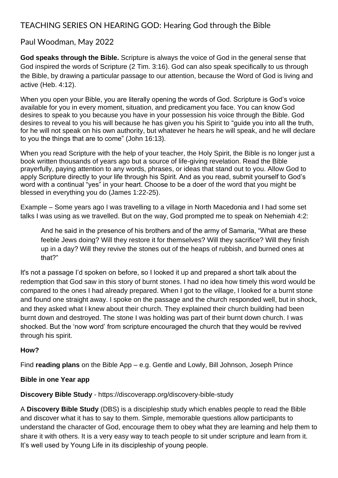# TEACHING SERIES ON HEARING GOD: Hearing God through the Bible

## Paul Woodman, May 2022

**God speaks through the Bible.** Scripture is always the voice of God in the general sense that God inspired the words of Scripture [\(2 Tim. 3:16\)](https://www.biblestudytools.com/2-timothy/3-16.html). God can also speak specifically to us through the Bible, by drawing a particular passage to our attention, because the Word of God is living and active [\(Heb. 4:12\)](https://www.biblestudytools.com/hebrews/4-12.html).

When you open your Bible, you are literally opening the words of God. Scripture is God's voice available for you in every moment, situation, and predicament you face. You can know God desires to speak to you because you have in your possession his voice through the Bible. God desires to reveal to you his will because he has given you his Spirit to "guide you into all the truth, for he will not speak on his own authority, but whatever he hears he will speak, and he will declare to you the things that are to come" [\(John 16:13\)](https://biblia.com/bible/esv/John%2016.13).

When you read Scripture with the help of your teacher, the Holy Spirit, the Bible is no longer just a book written thousands of years ago but a source of life-giving revelation. Read the Bible prayerfully, paying attention to any words, phrases, or ideas that stand out to you. Allow God to apply Scripture directly to your life through his Spirit. And as you read, submit yourself to God's word with a continual "yes" in your heart. Choose to be a doer of the word that you might be blessed in everything you do [\(James 1:22-25\)](https://biblia.com/bible/esv/James%201.22-25).

Example – Some years ago I was travelling to a village in North Macedonia and I had some set talks I was using as we travelled. But on the way, God prompted me to speak on Nehemiah 4:2:

And he said in the presence of his brothers and of the army of Samaria, "What are these feeble Jews doing? Will they restore it for themselves? Will they sacrifice? Will they finish up in a day? Will they revive the stones out of the heaps of rubbish, and burned ones at that?"

It's not a passage I'd spoken on before, so I looked it up and prepared a short talk about the redemption that God saw in this story of burnt stones. I had no idea how timely this word would be compared to the ones I had already prepared. When I got to the village, I looked for a burnt stone and found one straight away. I spoke on the passage and the church responded well, but in shock, and they asked what I knew about their church. They explained their church building had been burnt down and destroyed. The stone I was holding was part of their burnt down church. I was shocked. But the 'now word' from scripture encouraged the church that they would be revived through his spirit.

#### **How?**

Find **reading plans** on the Bible App – e.g. Gentle and Lowly, Bill Johnson, Joseph Prince

#### **Bible in one Year app**

**Discovery Bible Study** - <https://discoverapp.org/discovery-bible-study>

A **Discovery Bible Study** (DBS) is a [discipleship](https://discoverapp.org/discipleship) study which enables people to read the Bible and discover what it has to say to them. Simple, memorable questions allow participants to understand the character of God, encourage them to obey what they are learning and help them to share it with others. It is a very easy way to teach people to sit under scripture and learn from it. It's well used by Young Life in its discipleship of young people.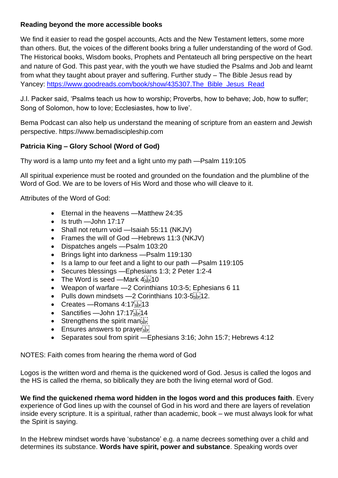### **Reading beyond the more accessible books**

We find it easier to read the gospel accounts, Acts and the New Testament letters, some more than others. But, the voices of the different books bring a fuller understanding of the word of God. The Historical books, Wisdom books, Prophets and Pentateuch all bring perspective on the heart and nature of God. This past year, with the youth we have studied the Psalms and Job and learnt from what they taught about prayer and suffering. Further study – The Bible Jesus read by Yancey: [https://www.goodreads.com/book/show/435307.The\\_Bible\\_Jesus\\_Read](https://www.goodreads.com/book/show/435307.The_Bible_Jesus_Read)

J.I. Packer said, 'Psalms teach us how to worship; Proverbs, how to behave; Job, how to suffer; Song of Solomon, how to love; Ecclesiastes, how to live'.

Bema Podcast can also help us understand the meaning of scripture from an eastern and Jewish perspective. https://www.bemadiscipleship.com

### **Patricia King – Glory School (Word of God)**

Thy word is a lamp unto my feet and a light unto my path —Psalm 119:105

All spiritual experience must be rooted and grounded on the foundation and the plumbline of the Word of God. We are to be lovers of His Word and those who will cleave to it.

Attributes of the Word of God:

- Eternal in the heavens —Matthew 24:35
- $\bullet$  Is truth —John 17:17
- Shall not return void —Isaiah 55:11 (NKJV)
- Frames the will of God —Hebrews 11:3 (NKJV)
- Dispatches angels —Psalm 103:20
- Brings light into darkness —Psalm 119:130
- Is a lamp to our feet and a light to our path —Psalm 119:105
- Secures blessings —Ephesians 1:3; 2 Peter 1:2-4
- The Word is seed —Mark  $4^{[1]}_{\text{SEP}}$  10
- Weapon of warfare —2 Corinthians 10:3-5; Ephesians 6 11
- Pulls down mindsets -2 Corinthians 10:3-5
- Creates Romans  $4:17^{[1]}_{\text{SEP}}13$
- Sanctifies John 17:17[17]
- Strengthens the spirit maniform
- $\bullet$  Ensures answers to prayer  $\mathbb{E}$
- Separates soul from spirit —Ephesians 3:16; John 15:7; Hebrews 4:12

NOTES: Faith comes from hearing the rhema word of God

Logos is the written word and rhema is the quickened word of God. Jesus is called the logos and the HS is called the rhema, so biblically they are both the living eternal word of God.

**We find the quickened rhema word hidden in the logos word and this produces faith**. Every experience of God lines up with the counsel of God in his word and there are layers of revelation inside every scripture. It is a spiritual, rather than academic, book – we must always look for what the Spirit is saying.

In the Hebrew mindset words have 'substance' e.g. a name decrees something over a child and determines its substance. **Words have spirit, power and substance**. Speaking words over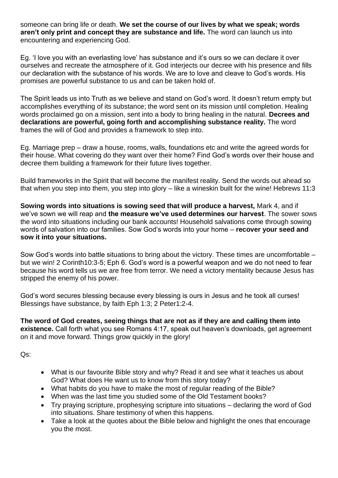someone can bring life or death. **We set the course of our lives by what we speak; words aren't only print and concept they are substance and life.** The word can launch us into encountering and experiencing God.

Eg. 'I love you with an everlasting love' has substance and it's ours so we can declare it over ourselves and recreate the atmosphere of it. God interjects our decree with his presence and fills our declaration with the substance of his words. We are to love and cleave to God's words. His promises are powerful substance to us and can be taken hold of.

The Spirit leads us into Truth as we believe and stand on God's word. It doesn't return empty but accomplishes everything of its substance; the word sent on its mission until completion. Healing words proclaimed go on a mission, sent into a body to bring healing in the natural. **Decrees and declarations are powerful, going forth and accomplishing substance reality.** The word frames the will of God and provides a framework to step into.

Eg. Marriage prep – draw a house, rooms, walls, foundations etc and write the agreed words for their house. What covering do they want over their home? Find God's words over their house and decree them building a framework for their future lives together.

Build frameworks in the Spirit that will become the manifest reality. Send the words out ahead so that when you step into them, you step into glory – like a wineskin built for the wine! Hebrews 11:3

**Sowing words into situations is sowing seed that will produce a harvest,** Mark 4, and if we've sown we will reap and **the measure we've used determines our harvest**. The sower sows the word into situations including our bank accounts! Household salvations come through sowing words of salvation into our families. Sow God's words into your home – **recover your seed and sow it into your situations.** 

Sow God's words into battle situations to bring about the victory. These times are uncomfortable – but we win! 2 Corinth10:3-5; Eph 6. God's word is a powerful weapon and we do not need to fear because his word tells us we are free from terror. We need a victory mentality because Jesus has stripped the enemy of his power.

God's word secures blessing because every blessing is ours in Jesus and he took all curses! Blessings have substance, by faith Eph 1:3; 2 Peter1:2-4.

**The word of God creates, seeing things that are not as if they are and calling them into existence.** Call forth what you see Romans 4:17, speak out heaven's downloads, get agreement on it and move forward. Things grow quickly in the glory!

Qs:

- What is our favourite Bible story and why? Read it and see what it teaches us about God? What does He want us to know from this story today?
- What habits do you have to make the most of regular reading of the Bible?
- When was the last time you studied some of the Old Testament books?
- Try praying scripture, prophesying scripture into situations declaring the word of God into situations. Share testimony of when this happens.
- Take a look at the quotes about the Bible below and highlight the ones that encourage you the most.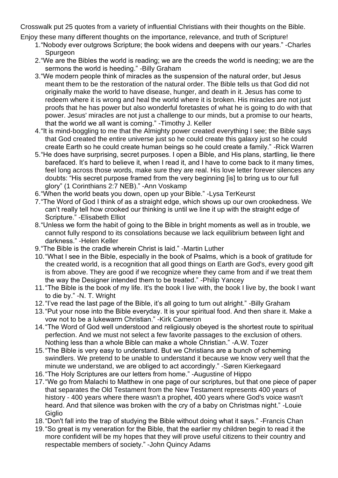Crosswalk put 25 quotes from a variety of influential Christians with their thoughts on the Bible.

Enjoy these many different thoughts on the importance, relevance, and truth of Scripture!

- 1."Nobody ever outgrows Scripture; the book widens and deepens with our years." -Charles Spurgeon
- 2."We are the Bibles the world is reading; we are the creeds the world is needing; we are the sermons the world is heeding." -Billy Graham
- 3."We modern people think of miracles as the suspension of the natural order, but Jesus meant them to be the restoration of the natural order. The Bible tells us that God did not originally make the world to have disease, hunger, and death in it. Jesus has come to redeem where it is wrong and heal the world where it is broken. His miracles are not just proofs that he has power but also wonderful foretastes of what he is going to do with that power. Jesus' miracles are not just a challenge to our minds, but a promise to our hearts, that the world we all want is coming." -Timothy J. Keller
- 4."It is mind-boggling to me that the Almighty power created everything I see; the Bible says that God created the entire universe just so he could create this galaxy just so he could create Earth so he could create human beings so he could create a family." -Rick Warren
- 5."He does have surprising, secret purposes. I open a Bible, and His plans, startling, lie there barefaced. It's hard to believe it, when I read it, and I have to come back to it many times, feel long across those words, make sure they are real. His love letter forever silences any doubts: "His secret purpose framed from the very beginning [is] to bring us to our full glory" [\(1 Corinthians 2:7](http://www.biblestudytools.com/search/?t=niv&q=1co+2:7) NEB)." -Ann Voskamp
- 6."When the world beats you down, open up your Bible." -Lysa TerKeurst
- 7."The Word of God I think of as a straight edge, which shows up our own crookedness. We can't really tell how crooked our thinking is until we line it up with the straight edge of Scripture." -Elisabeth Elliot
- 8."Unless we form the habit of going to the Bible in bright moments as well as in trouble, we cannot fully respond to its consolations because we lack equilibrium between light and darkness." -Helen Keller
- 9."The Bible is the cradle wherein Christ is laid." -Martin Luther
- 10."What I see in the Bible, especially in the book of Psalms, which is a book of gratitude for the created world, is a recognition that all good things on Earth are God's, every good gift is from above. They are good if we recognize where they came from and if we treat them the way the Designer intended them to be treated." -Philip Yancey
- 11."The Bible is the book of my life. It's the book I live with, the book I live by, the book I want to die by." -N. T. Wright
- 12."I've read the last page of the Bible, it's all going to turn out alright." -Billy Graham
- 13."Put your nose into the Bible everyday. It is your spiritual food. And then share it. Make a vow not to be a lukewarm Christian." -Kirk Cameron
- 14."The Word of God well understood and religiously obeyed is the shortest route to spiritual perfection. And we must not select a few favorite passages to the exclusion of others. Nothing less than a whole Bible can make a whole Christian." -A.W. Tozer
- 15."The Bible is very easy to understand. But we Christians are a bunch of scheming swindlers. We pretend to be unable to understand it because we know very well that the minute we understand, we are obliged to act accordingly." -Søren Kierkegaard
- 16."The Holy Scriptures are our letters from home." -Augustine of Hippo
- 17."We go from Malachi to Matthew in one page of our scriptures, but that one piece of paper that separates the Old Testament from the New Testament represents 400 years of history - 400 years where there wasn't a prophet, 400 years where God's voice wasn't heard. And that silence was broken with the cry of a baby on Christmas night." -Louie **Giglio**
- 18."Don't fall into the trap of studying the Bible without doing what it says." -Francis Chan
- 19."So great is my veneration for the Bible, that the earlier my children begin to read it the more confident will be my hopes that they will prove useful citizens to their country and respectable members of society." -John Quincy Adams